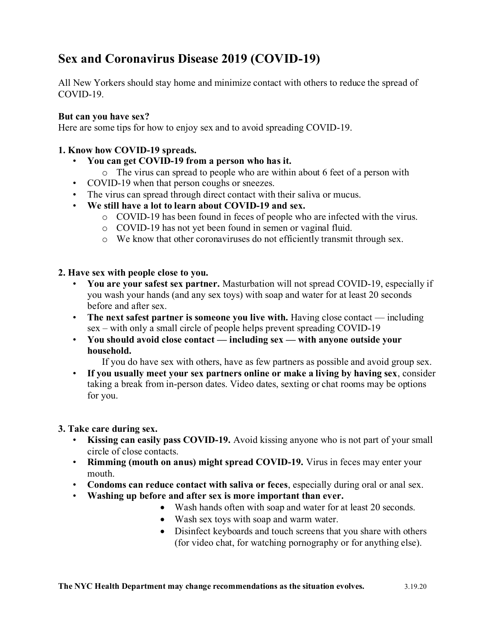# **Sex and Coronavirus Disease 2019 (COVID-19)**

All New Yorkers should stay home and minimize contact with others to reduce the spread of COVID-19.

## **But can you have sex?**

Here are some tips for how to enjoy sex and to avoid spreading COVID-19.

## **1. Know how COVID-19 spreads.**

- **You can get COVID-19 from a person who has it.**
	- o The virus can spread to people who are within about 6 feet of a person with
- COVID-19 when that person coughs or sneezes.
- The virus can spread through direct contact with their saliva or mucus.
- **We still have a lot to learn about COVID-19 and sex.**
	- o COVID-19 has been found in feces of people who are infected with the virus.
	- o COVID-19 has not yet been found in semen or vaginal fluid.
	- o We know that other coronaviruses do not efficiently transmit through sex.

#### **2. Have sex with people close to you.**

- **You are your safest sex partner.** Masturbation will not spread COVID-19, especially if you wash your hands (and any sex toys) with soap and water for at least 20 seconds before and after sex.
- **The next safest partner is someone you live with.** Having close contact including sex – with only a small circle of people helps prevent spreading COVID-19
- **You should avoid close contact — including sex — with anyone outside your household.**

If you do have sex with others, have as few partners as possible and avoid group sex.

• **If you usually meet your sex partners online or make a living by having sex**, consider taking a break from in-person dates. Video dates, sexting or chat rooms may be options for you.

#### **3. Take care during sex.**

- **Kissing can easily pass COVID-19.** Avoid kissing anyone who is not part of your small circle of close contacts.
- **Rimming (mouth on anus) might spread COVID-19.** Virus in feces may enter your mouth.
- **Condoms can reduce contact with saliva or feces**, especially during oral or anal sex.
- **Washing up before and after sex is more important than ever.**
	- Wash hands often with soap and water for at least 20 seconds.
	- Wash sex toys with soap and warm water.
	- Disinfect keyboards and touch screens that you share with others (for video chat, for watching pornography or for anything else).